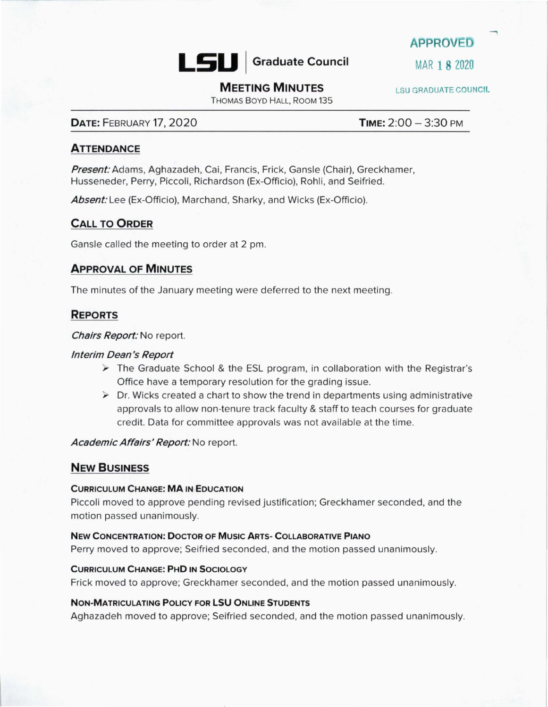

**APPROVED** 

# **MEETING MINUTES** LSU GRADUATE COUNCIL

THOMAS BOYD HALL, ROOM 135

# **DATE: FEBRUARY 17, 2020 TIME: 2:00 - 3:30 PM**

# **ATTENDANCE**

**Present:** Adams, Aghazadeh, Cai, Francis, Frick, Gansle (Chair), Greckhamer, Husseneder, Perry, Piccoli, Richardson (Ex-Officio), Rohli, and Seifried.

Absent: Lee (Ex-Officio), Marchand, Sharky, and Wicks (Ex-Officio).

# **CALL TO ORDER**

Gansle called the meeting to order at 2 pm.

### **APPROVAL OF MINUTES**

The minutes of the January meeting were deferred to the next meeting.

# **REPORTS**

**Chairs Report:** No report.

### **Interim Dean's Report**

- $\triangleright$  The Graduate School & the ESL program, in collaboration with the Registrar's Office have a temporary resolution for the grading issue.
- $\triangleright$  Dr. Wicks created a chart to show the trend in departments using administrative approvals to allow non-tenure track faculty & staff to teach courses for graduate credit. Data for committee approvals was not available at the time.

**Academic Affairs' Report:** No report.

# **NEW BUSINESS**

#### **CURRICULUM CHANGE: MA IN EDUCATION**

Piccoli moved to approve pending revised justification; Greckhamer seconded, and the motion passed unanimously.

#### **NEW CONCENTRATION: DOCTOR OF MUSIC ARTS- COLLABORATIVE PIANO**

Perry moved to approve; Seifried seconded, and the motion passed unanimously.

#### **CURRICULUM CHANGE: PHD IN SOCIOLOGY**

Frick moved to approve; Greckhamer seconded, and the motion passed unanimously.

### **NON-MATRICULATING POLICY FOR LSU ONLINE STUDENTS**

Aghazadeh moved to approve; Seifried seconded, and the motion passed unanimously.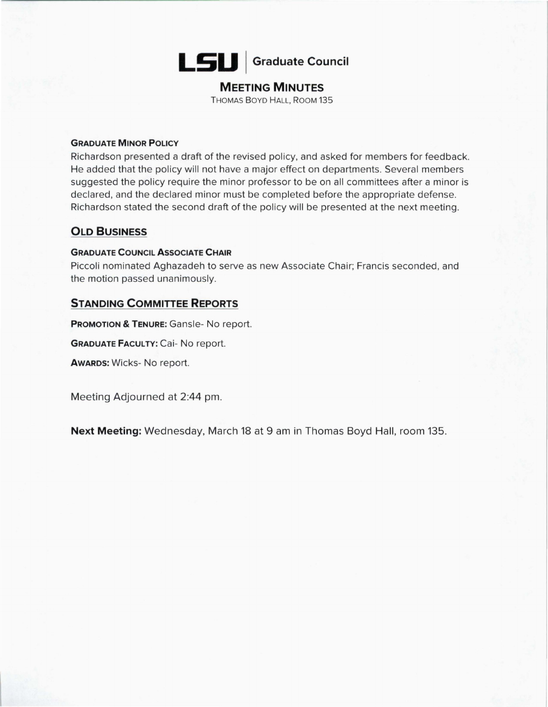

# **MEETING MINUTES**

THOMAS BOYD HALL, ROOM 135

### **GRADUATE MINOR POLICY**

Richardson presented a draft of the revised policy, and asked for members for feedback. He added that the policy will not have a major effect on departments. Several members suggested the policy require the minor professor to be on all committees after a minor is declared, and the declared minor must be completed before the appropriate defense. Richardson stated the second draft of the policy will be presented at the next meeting.

# **OLD BUSINESS**

### **GRADUATE COUNCIL ASSOCIATE CHAIR**

Piccoli nominated Aghazadeh to serve as new Associate Chair; Francis seconded, and the motion passed unanimously.

# **STANDING COMMITTEE REPORTS**

**PROMOTION & TENURE:** Gansle- No report.

**GRADUATE FACULTY: Cai- No report.** 

**AWARDS:** Wicks- No report.

Meeting Adjourned at 2:44 pm.

**Next Meeting:** Wednesday, March 18 at 9 am in Thomas Boyd Hall, room 135.